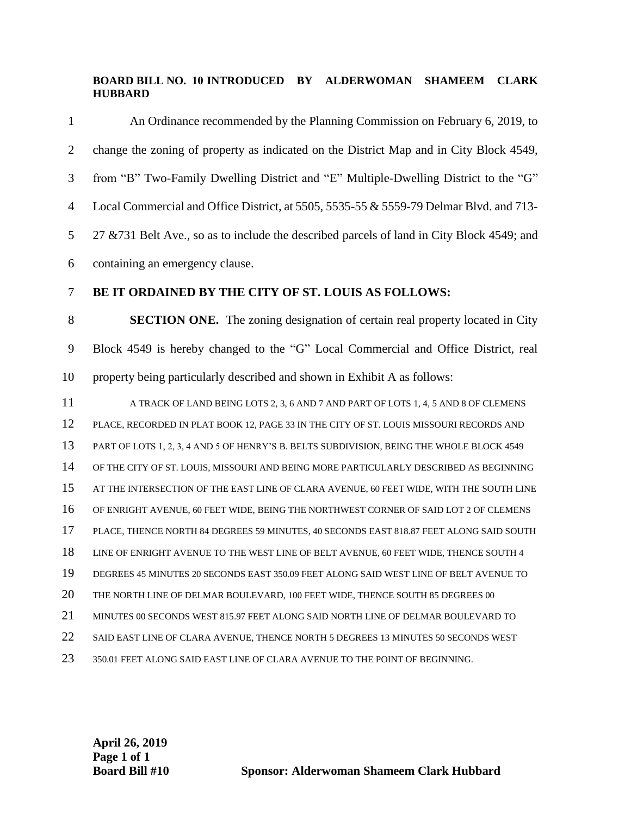## **BOARD BILL NO. 10 INTRODUCED BY ALDERWOMAN SHAMEEM CLARK HUBBARD**

| $\mathbf{1}$   | An Ordinance recommended by the Planning Commission on February 6, 2019, to                |
|----------------|--------------------------------------------------------------------------------------------|
| $\overline{2}$ | change the zoning of property as indicated on the District Map and in City Block 4549,     |
| 3              | from "B" Two-Family Dwelling District and "E" Multiple-Dwelling District to the "G"        |
| $\overline{4}$ | Local Commercial and Office District, at 5505, 5535-55 & 5559-79 Delmar Blvd. and 713-     |
| 5              | 27 & 731 Belt Ave., so as to include the described parcels of land in City Block 4549; and |
| 6              | containing an emergency clause.                                                            |
| $\tau$         | BE IT ORDAINED BY THE CITY OF ST. LOUIS AS FOLLOWS:                                        |
| $8\,$          | <b>SECTION ONE.</b> The zoning designation of certain real property located in City        |
| $\mathbf{9}$   | Block 4549 is hereby changed to the "G" Local Commercial and Office District, real         |
| 10             | property being particularly described and shown in Exhibit A as follows:                   |
| 11             | A TRACK OF LAND BEING LOTS 2, 3, 6 AND 7 AND PART OF LOTS 1, 4, 5 AND 8 OF CLEMENS         |
| 12             | PLACE, RECORDED IN PLAT BOOK 12, PAGE 33 IN THE CITY OF ST. LOUIS MISSOURI RECORDS AND     |
| 13             | PART OF LOTS 1, 2, 3, 4 AND 5 OF HENRY'S B. BELTS SUBDIVISION, BEING THE WHOLE BLOCK 4549  |
| 14             | OF THE CITY OF ST. LOUIS, MISSOURI AND BEING MORE PARTICULARLY DESCRIBED AS BEGINNING      |
| 15             | AT THE INTERSECTION OF THE EAST LINE OF CLARA AVENUE, 60 FEET WIDE, WITH THE SOUTH LINE    |
| 16             | OF ENRIGHT AVENUE, 60 FEET WIDE, BEING THE NORTHWEST CORNER OF SAID LOT 2 OF CLEMENS       |
| 17             | PLACE, THENCE NORTH 84 DEGREES 59 MINUTES, 40 SECONDS EAST 818.87 FEET ALONG SAID SOUTH    |
| 18             | LINE OF ENRIGHT AVENUE TO THE WEST LINE OF BELT AVENUE, 60 FEET WIDE, THENCE SOUTH 4       |
| 19             | DEGREES 45 MINUTES 20 SECONDS EAST 350.09 FEET ALONG SAID WEST LINE OF BELT AVENUE TO      |
| 20             | THE NORTH LINE OF DELMAR BOULEVARD, 100 FEET WIDE, THENCE SOUTH 85 DEGREES 00              |
| 21             | MINUTES 00 SECONDS WEST 815.97 FEET ALONG SAID NORTH LINE OF DELMAR BOULEVARD TO           |
| 22             | SAID EAST LINE OF CLARA AVENUE, THENCE NORTH 5 DEGREES 13 MINUTES 50 SECONDS WEST          |
| 23             | 350.01 FEET ALONG SAID EAST LINE OF CLARA AVENUE TO THE POINT OF BEGINNING.                |

**April 26, 2019 Page 1 of 1**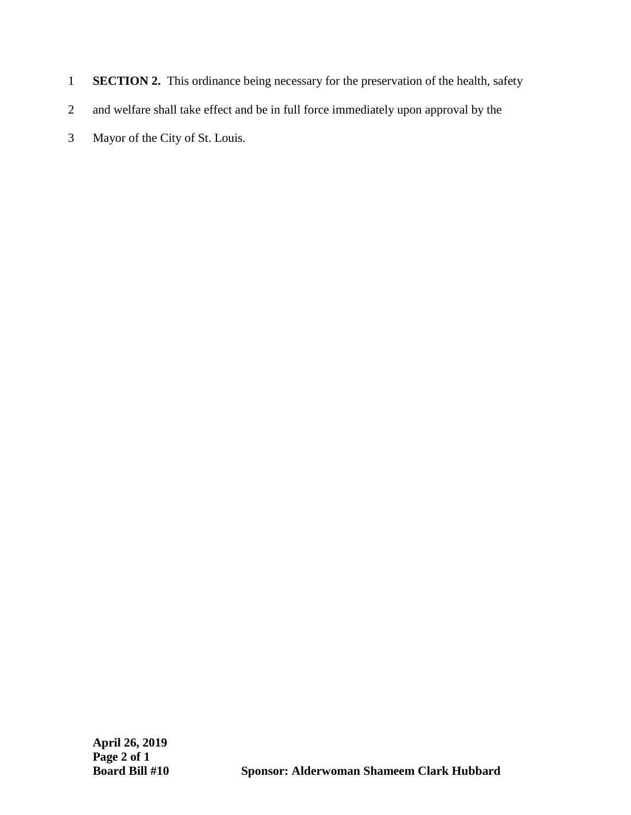- 1 **SECTION 2.** This ordinance being necessary for the preservation of the health, safety
- 2 and welfare shall take effect and be in full force immediately upon approval by the
- 3 Mayor of the City of St. Louis.